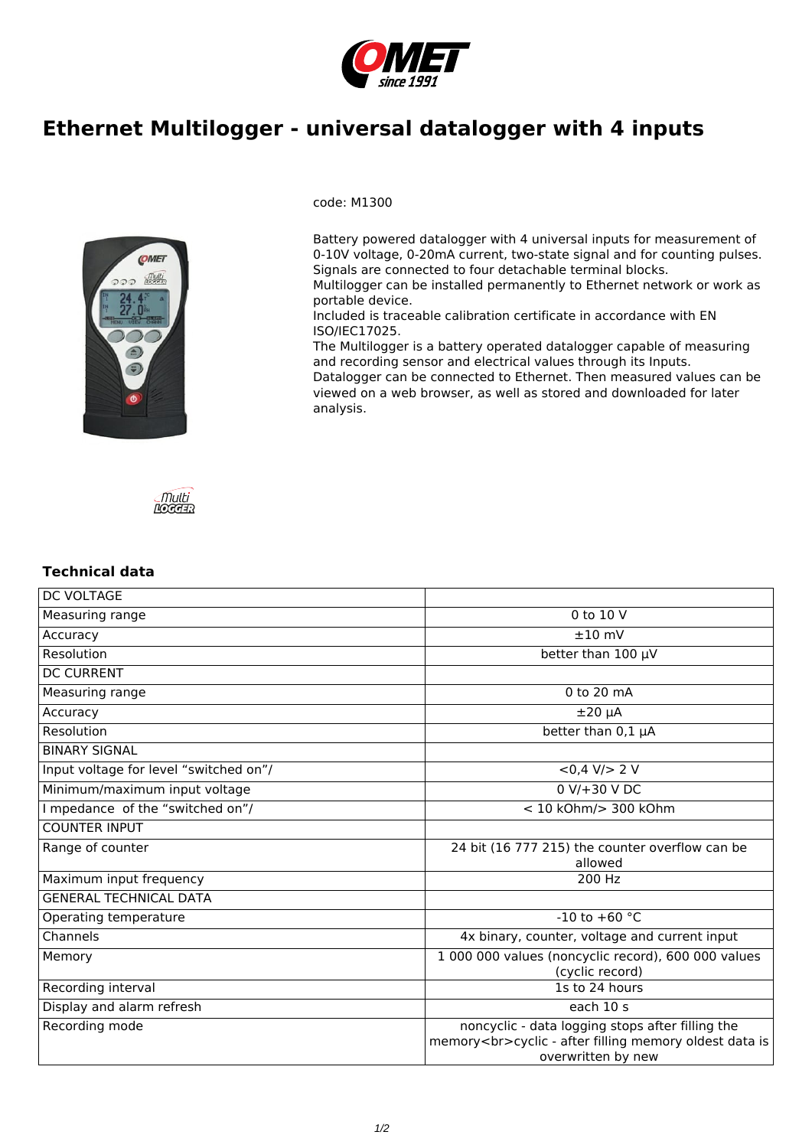

## **Ethernet Multilogger - universal datalogger with 4 inputs**



code: M1300

Battery powered datalogger with 4 universal inputs for measurement of 0-10V voltage, 0-20mA current, two-state signal and for counting pulses. Signals are connected to four detachable terminal blocks.

Multilogger can be installed permanently to Ethernet network or work as portable device.

Included is traceable calibration certificate in accordance with EN ISO/IEC17025.

The Multilogger is a battery operated datalogger capable of measuring and recording sensor and electrical values through its Inputs.

Datalogger can be connected to Ethernet. Then measured values can be viewed on a web browser, as well as stored and downloaded for later analysis.



## **Technical data**

| <b>DC VOLTAGE</b>                      |                                                                                                                                  |
|----------------------------------------|----------------------------------------------------------------------------------------------------------------------------------|
| Measuring range                        | 0 to 10 V                                                                                                                        |
| Accuracy                               | $±10$ mV                                                                                                                         |
| Resolution                             | better than $100 \mu V$                                                                                                          |
| <b>DC CURRENT</b>                      |                                                                                                                                  |
| Measuring range                        | 0 to 20 mA                                                                                                                       |
| Accuracy                               | $±20 \mu A$                                                                                                                      |
| Resolution                             | better than 0,1 µA                                                                                                               |
| <b>BINARY SIGNAL</b>                   |                                                                                                                                  |
| Input voltage for level "switched on"/ | $<0.4$ V/ $> 2$ V                                                                                                                |
| Minimum/maximum input voltage          | $0 V/+30 V DC$                                                                                                                   |
| I mpedance of the "switched on"/       | < 10 kOhm/> 300 kOhm                                                                                                             |
| <b>COUNTER INPUT</b>                   |                                                                                                                                  |
| Range of counter                       | 24 bit (16 777 215) the counter overflow can be<br>allowed                                                                       |
| Maximum input frequency                | 200 Hz                                                                                                                           |
| <b>GENERAL TECHNICAL DATA</b>          |                                                                                                                                  |
| Operating temperature                  | $-10$ to $+60$ °C                                                                                                                |
| Channels                               | 4x binary, counter, voltage and current input                                                                                    |
| Memory                                 | 1 000 000 values (noncyclic record), 600 000 values<br>(cyclic record)                                                           |
| Recording interval                     | 1s to 24 hours                                                                                                                   |
| Display and alarm refresh              | each 10 s                                                                                                                        |
| Recording mode                         | noncyclic - data logging stops after filling the<br>memory<br>cyclic - after filling memory oldest data is<br>overwritten by new |